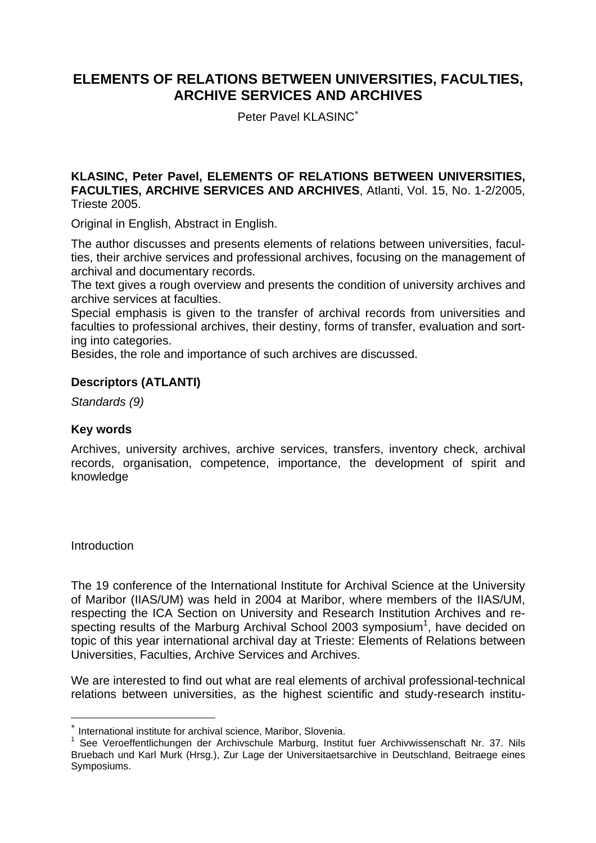# **ELEMENTS OF RELATIONS BETWEEN UNIVERSITIES, FACULTIES, ARCHIVE SERVICES AND ARCHIVES**

Peter Pavel KLASINC<sup>∗</sup>

**KLASINC, Peter Pavel, ELEMENTS OF RELATIONS BETWEEN UNIVERSITIES, FACULTIES, ARCHIVE SERVICES AND ARCHIVES**, Atlanti, Vol. 15, No. 1-2/2005, Trieste 2005.

Original in English, Abstract in English.

The author discusses and presents elements of relations between universities, faculties, their archive services and professional archives, focusing on the management of archival and documentary records.

The text gives a rough overview and presents the condition of university archives and archive services at faculties.

Special emphasis is given to the transfer of archival records from universities and faculties to professional archives, their destiny, forms of transfer, evaluation and sorting into categories.

Besides, the role and importance of such archives are discussed.

## **Descriptors (ATLANTI)**

*Standards (9)*

## **Key words**

Archives, university archives, archive services, transfers, inventory check, archival records, organisation, competence, importance, the development of spirit and knowledge

**Introduction** 

 $\overline{a}$ 

The 19 conference of the International Institute for Archival Science at the University of Maribor (IIAS/UM) was held in 2004 at Maribor, where members of the IIAS/UM, respecting the ICA Section on University and Research Institution Archives and respecting results of the Marburg Archival School 2003 symposium<sup>1</sup>, have decided on topic of this year international archival day at Trieste: Elements of Relations between Universities, Faculties, Archive Services and Archives.

We are interested to find out what are real elements of archival professional-technical relations between universities, as the highest scientific and study-research institu-

International institute for archival science, Maribor, Slovenia.

<sup>&</sup>lt;sup>1</sup> See Veroeffentlichungen der Archivschule Marburg, Institut fuer Archivwissenschaft Nr. 37. Nils Bruebach und Karl Murk (Hrsg.), Zur Lage der Universitaetsarchive in Deutschland, Beitraege eines Symposiums.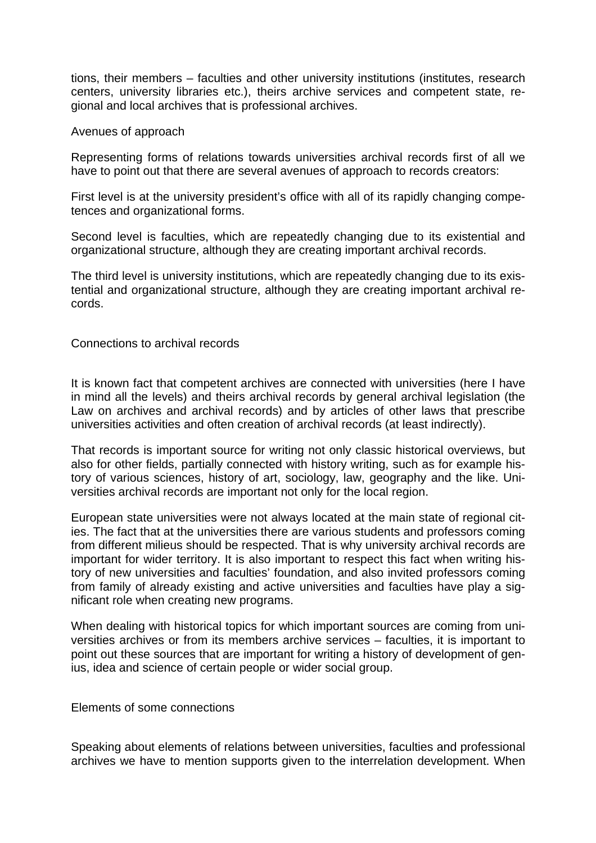tions, their members – faculties and other university institutions (institutes, research centers, university libraries etc.), theirs archive services and competent state, regional and local archives that is professional archives.

#### Avenues of approach

Representing forms of relations towards universities archival records first of all we have to point out that there are several avenues of approach to records creators:

First level is at the university president's office with all of its rapidly changing competences and organizational forms.

Second level is faculties, which are repeatedly changing due to its existential and organizational structure, although they are creating important archival records.

The third level is university institutions, which are repeatedly changing due to its existential and organizational structure, although they are creating important archival records.

### Connections to archival records

It is known fact that competent archives are connected with universities (here I have in mind all the levels) and theirs archival records by general archival legislation (the Law on archives and archival records) and by articles of other laws that prescribe universities activities and often creation of archival records (at least indirectly).

That records is important source for writing not only classic historical overviews, but also for other fields, partially connected with history writing, such as for example history of various sciences, history of art, sociology, law, geography and the like. Universities archival records are important not only for the local region.

European state universities were not always located at the main state of regional cities. The fact that at the universities there are various students and professors coming from different milieus should be respected. That is why university archival records are important for wider territory. It is also important to respect this fact when writing history of new universities and faculties' foundation, and also invited professors coming from family of already existing and active universities and faculties have play a significant role when creating new programs.

When dealing with historical topics for which important sources are coming from universities archives or from its members archive services – faculties, it is important to point out these sources that are important for writing a history of development of genius, idea and science of certain people or wider social group.

Elements of some connections

Speaking about elements of relations between universities, faculties and professional archives we have to mention supports given to the interrelation development. When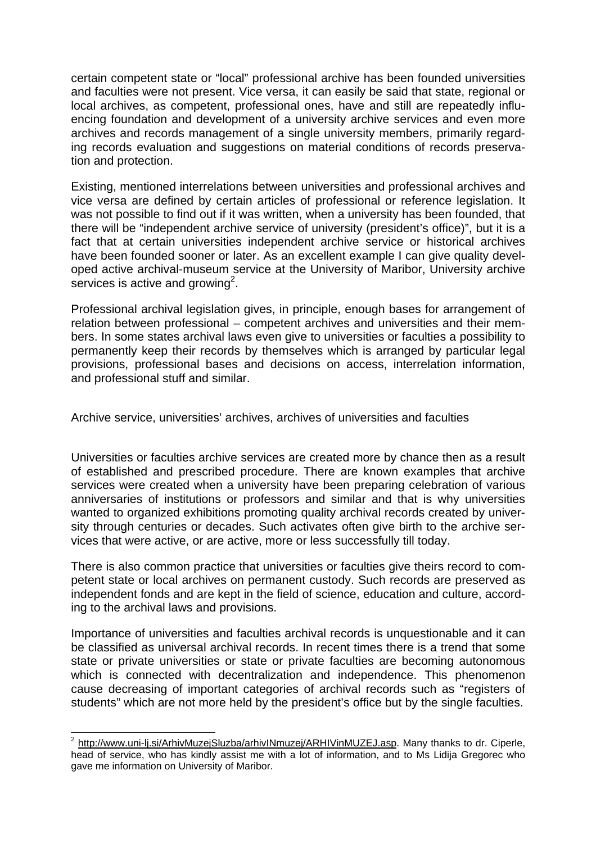certain competent state or "local" professional archive has been founded universities and faculties were not present. Vice versa, it can easily be said that state, regional or local archives, as competent, professional ones, have and still are repeatedly influencing foundation and development of a university archive services and even more archives and records management of a single university members, primarily regarding records evaluation and suggestions on material conditions of records preservation and protection.

Existing, mentioned interrelations between universities and professional archives and vice versa are defined by certain articles of professional or reference legislation. It was not possible to find out if it was written, when a university has been founded, that there will be "independent archive service of university (president's office)", but it is a fact that at certain universities independent archive service or historical archives have been founded sooner or later. As an excellent example I can give quality developed active archival-museum service at the University of Maribor, University archive services is active and growing<sup>2</sup>.

Professional archival legislation gives, in principle, enough bases for arrangement of relation between professional – competent archives and universities and their members. In some states archival laws even give to universities or faculties a possibility to permanently keep their records by themselves which is arranged by particular legal provisions, professional bases and decisions on access, interrelation information, and professional stuff and similar.

Archive service, universities' archives, archives of universities and faculties

Universities or faculties archive services are created more by chance then as a result of established and prescribed procedure. There are known examples that archive services were created when a university have been preparing celebration of various anniversaries of institutions or professors and similar and that is why universities wanted to organized exhibitions promoting quality archival records created by university through centuries or decades. Such activates often give birth to the archive services that were active, or are active, more or less successfully till today.

There is also common practice that universities or faculties give theirs record to competent state or local archives on permanent custody. Such records are preserved as independent fonds and are kept in the field of science, education and culture, according to the archival laws and provisions.

Importance of universities and faculties archival records is unquestionable and it can be classified as universal archival records. In recent times there is a trend that some state or private universities or state or private faculties are becoming autonomous which is connected with decentralization and independence. This phenomenon cause decreasing of important categories of archival records such as "registers of students" which are not more held by the president's office but by the single faculties.

 2 http://www.uni-lj.si/ArhivMuzejSluzba/arhivINmuzej/ARHIVinMUZEJ.asp. Many thanks to dr. Ciperle, head of service, who has kindly assist me with a lot of information, and to Ms Lidija Gregorec who gave me information on University of Maribor.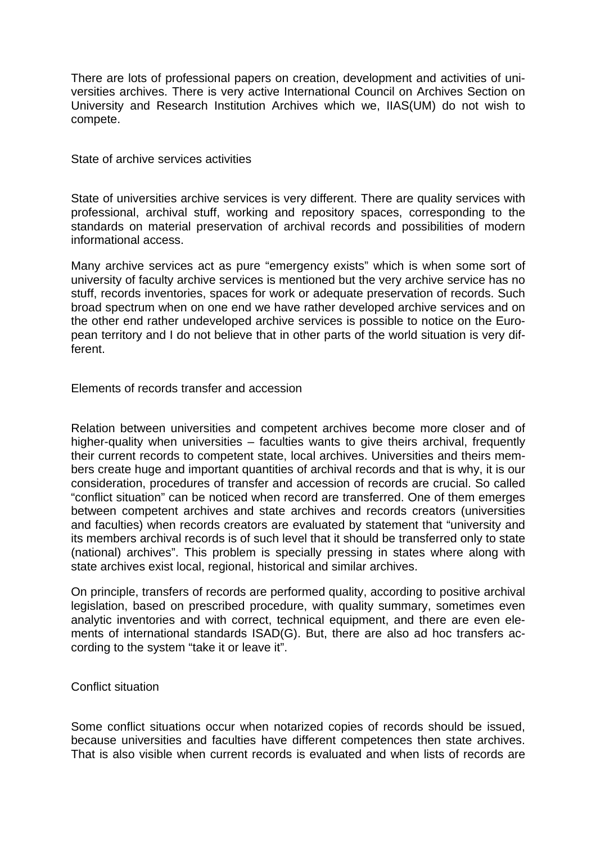There are lots of professional papers on creation, development and activities of universities archives. There is very active International Council on Archives Section on University and Research Institution Archives which we, IIAS(UM) do not wish to compete.

State of archive services activities

State of universities archive services is very different. There are quality services with professional, archival stuff, working and repository spaces, corresponding to the standards on material preservation of archival records and possibilities of modern informational access.

Many archive services act as pure "emergency exists" which is when some sort of university of faculty archive services is mentioned but the very archive service has no stuff, records inventories, spaces for work or adequate preservation of records. Such broad spectrum when on one end we have rather developed archive services and on the other end rather undeveloped archive services is possible to notice on the European territory and I do not believe that in other parts of the world situation is very different.

Elements of records transfer and accession

Relation between universities and competent archives become more closer and of higher-quality when universities – faculties wants to give theirs archival, frequently their current records to competent state, local archives. Universities and theirs members create huge and important quantities of archival records and that is why, it is our consideration, procedures of transfer and accession of records are crucial. So called "conflict situation" can be noticed when record are transferred. One of them emerges between competent archives and state archives and records creators (universities and faculties) when records creators are evaluated by statement that "university and its members archival records is of such level that it should be transferred only to state (national) archives". This problem is specially pressing in states where along with state archives exist local, regional, historical and similar archives.

On principle, transfers of records are performed quality, according to positive archival legislation, based on prescribed procedure, with quality summary, sometimes even analytic inventories and with correct, technical equipment, and there are even elements of international standards ISAD(G). But, there are also ad hoc transfers according to the system "take it or leave it".

## Conflict situation

Some conflict situations occur when notarized copies of records should be issued, because universities and faculties have different competences then state archives. That is also visible when current records is evaluated and when lists of records are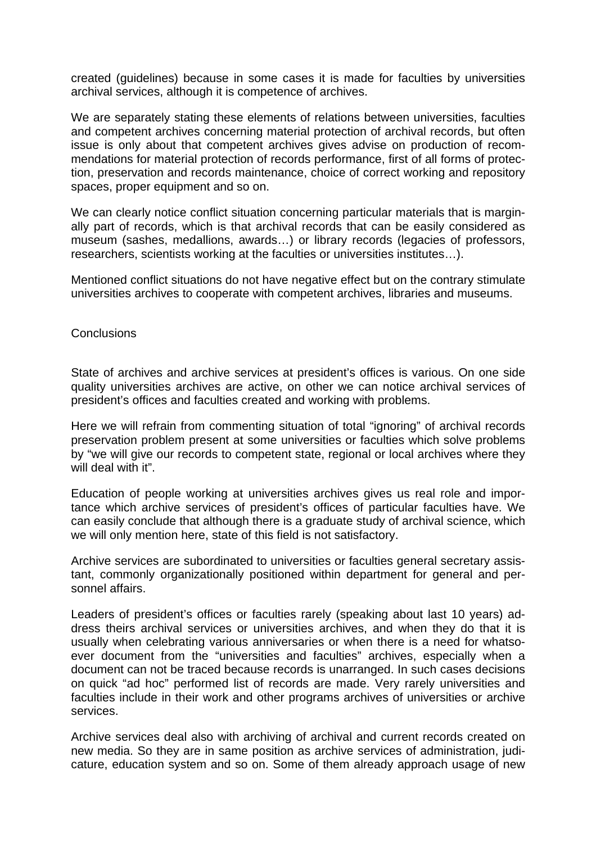created (guidelines) because in some cases it is made for faculties by universities archival services, although it is competence of archives.

We are separately stating these elements of relations between universities, faculties and competent archives concerning material protection of archival records, but often issue is only about that competent archives gives advise on production of recommendations for material protection of records performance, first of all forms of protection, preservation and records maintenance, choice of correct working and repository spaces, proper equipment and so on.

We can clearly notice conflict situation concerning particular materials that is marginally part of records, which is that archival records that can be easily considered as museum (sashes, medallions, awards…) or library records (legacies of professors, researchers, scientists working at the faculties or universities institutes…).

Mentioned conflict situations do not have negative effect but on the contrary stimulate universities archives to cooperate with competent archives, libraries and museums.

#### **Conclusions**

State of archives and archive services at president's offices is various. On one side quality universities archives are active, on other we can notice archival services of president's offices and faculties created and working with problems.

Here we will refrain from commenting situation of total "ignoring" of archival records preservation problem present at some universities or faculties which solve problems by "we will give our records to competent state, regional or local archives where they will deal with it".

Education of people working at universities archives gives us real role and importance which archive services of president's offices of particular faculties have. We can easily conclude that although there is a graduate study of archival science, which we will only mention here, state of this field is not satisfactory.

Archive services are subordinated to universities or faculties general secretary assistant, commonly organizationally positioned within department for general and personnel affairs.

Leaders of president's offices or faculties rarely (speaking about last 10 years) address theirs archival services or universities archives, and when they do that it is usually when celebrating various anniversaries or when there is a need for whatsoever document from the "universities and faculties" archives, especially when a document can not be traced because records is unarranged. In such cases decisions on quick "ad hoc" performed list of records are made. Very rarely universities and faculties include in their work and other programs archives of universities or archive services.

Archive services deal also with archiving of archival and current records created on new media. So they are in same position as archive services of administration, judicature, education system and so on. Some of them already approach usage of new